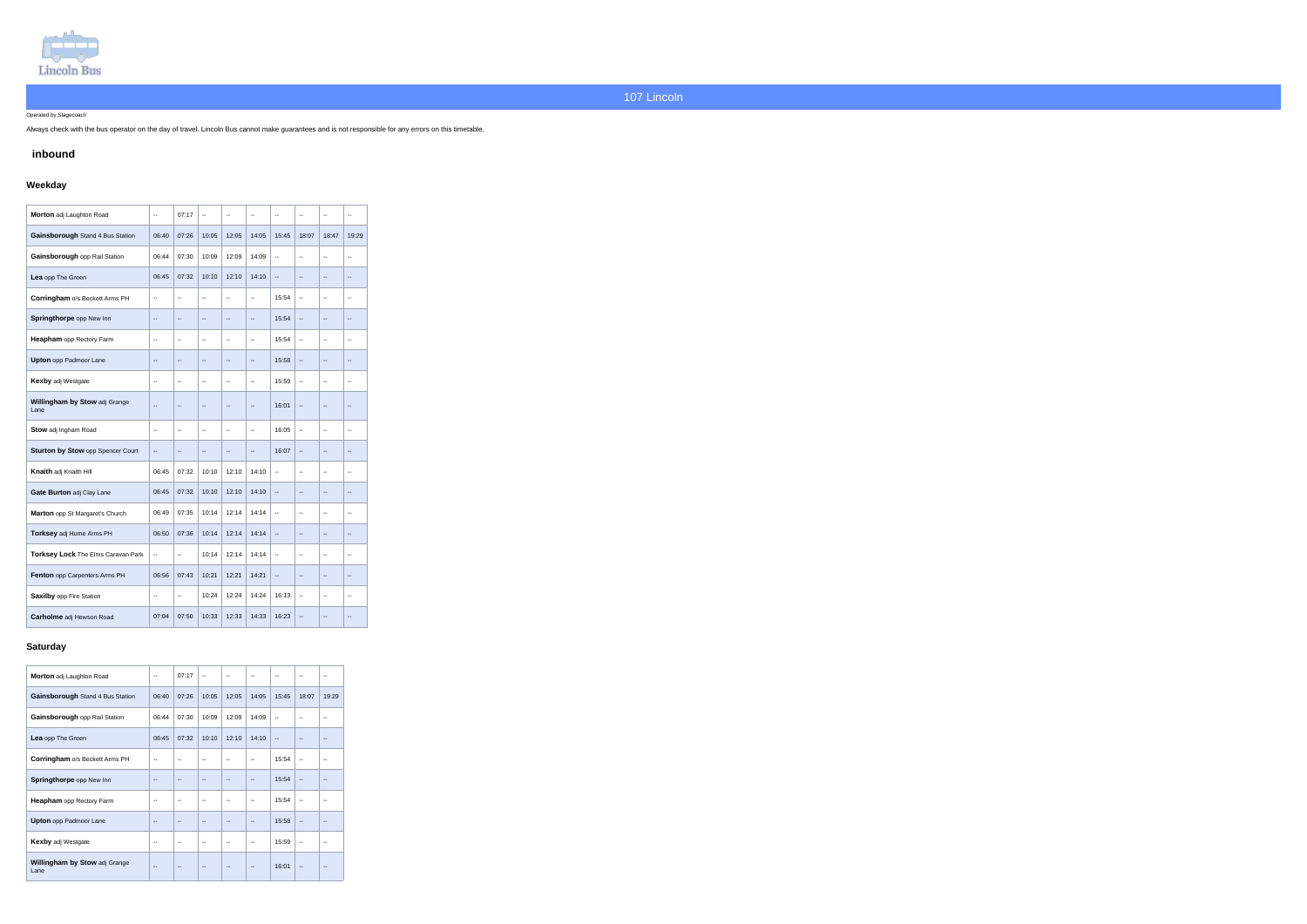

Operated by Stagecoach

Always check with the bus operator on the day of travel. Lincoln Bus cannot make guarantees and is not responsible for any errors on this timetable.

### **inbound**

# **Weekday**

| Morton adj Laughton Road              | $\overline{\phantom{a}}$ | 07:17                        | $\overline{\phantom{a}}$ | $\overline{a}$           | $-$                      | $\overline{\phantom{a}}$ | $\overline{a}$                                | $\overline{a}$               | --                           |
|---------------------------------------|--------------------------|------------------------------|--------------------------|--------------------------|--------------------------|--------------------------|-----------------------------------------------|------------------------------|------------------------------|
| Gainsborough Stand 4 Bus Station      | 06:40                    | 07:26                        | 10:05                    | 12:05                    | 14:05                    | 15:45                    | 18:07                                         | 18:47                        | 19:29                        |
| Gainsborough opp Rail Station         | 06:44                    | 07:30                        | 10:09                    | 12:09                    | 14:09                    | $\ddotsc$                | $\overline{\phantom{a}}$                      | $\overline{\phantom{a}}$     | --                           |
| Lea opp The Green                     | 06:45                    | 07:32                        | 10:10                    | 12:10                    | 14:10                    | --                       | $\overline{\phantom{a}}$                      | $\overline{\phantom{a}}$     | --                           |
| Corringham o/s Beckett Arms PH        | $\overline{\phantom{a}}$ | $\overline{\phantom{a}}$     | $\overline{\phantom{a}}$ | $\overline{\phantom{a}}$ | ц.                       | 15:54                    | $\sim$                                        | $\overline{\phantom{a}}$     | $\overline{\phantom{a}}$     |
| Springthorpe opp New Inn              | $\overline{\phantom{a}}$ | $\overline{\phantom{a}}$     | $\overline{\phantom{a}}$ | $\overline{\phantom{a}}$ | $\overline{\phantom{a}}$ | 15:54                    | $\mathord{\hspace{1pt}\text{--}\hspace{1pt}}$ | $\overline{\phantom{a}}$     | $\overline{\phantom{a}}$     |
| Heapham opp Rectory Farm              | $\overline{\phantom{a}}$ | $\overline{\phantom{a}}$     | $\overline{\phantom{a}}$ | $\overline{a}$           | $\overline{\phantom{a}}$ | 15:54                    | $\overline{\phantom{a}}$                      | $\overline{a}$               | $\overline{\phantom{a}}$     |
| <b>Upton</b> opp Padmoor Lane         | $\overline{\phantom{a}}$ | $\overline{\phantom{a}}$     | $\overline{\phantom{a}}$ | $\overline{\phantom{a}}$ | $\overline{a}$           | 15:58                    | $\overline{\phantom{a}}$                      | $\overline{a}$               | --                           |
| <b>Kexby adj Westgate</b>             | $\overline{\phantom{a}}$ | $\overline{\phantom{a}}$     | $\overline{\phantom{a}}$ | --                       | --                       | 15:59                    | $\overline{\phantom{a}}$                      | $\overline{\phantom{a}}$     | --                           |
| Willingham by Stow adj Grange<br>Lane |                          | $\overline{\phantom{a}}$     | $\overline{\phantom{a}}$ | $\overline{\phantom{a}}$ | $\overline{\phantom{a}}$ | 16:01                    | $\overline{a}$                                | $\qquad \qquad -$            | --                           |
| Stow adj Ingham Road                  | $\overline{\phantom{a}}$ | $\overline{\phantom{a}}$     | $\overline{\phantom{a}}$ | Ξ.                       | ц.                       | 16:05                    | $\overline{\phantom{a}}$                      | $\overline{a}$               | $\overline{\phantom{a}}$     |
| Sturton by Stow opp Spencer Court     | $\qquad \qquad -$        | $\qquad \qquad -$            | $\qquad \qquad -$        | --                       | --                       | 16:07                    | $\overline{a}$                                | $\overline{a}$               | --                           |
| Knaith adj Knaith Hill                | 06:45                    | 07:32                        | 10:10                    | 12:10                    | 14:10                    | $\overline{a}$           | $\sim$                                        | $\overline{\phantom{a}}$     | $\overline{a}$               |
| Gate Burton adj Clay Lane             | 06:45                    | 07:32                        | 10:10                    | 12:10                    | 14:10                    | $\overline{\phantom{a}}$ | $\qquad \qquad -$                             | $\overline{\phantom{a}}$     | $\qquad \qquad \blacksquare$ |
| Marton opp St Margaret's Church       | 06:49                    | 07:35                        | 10:14                    | 12:14                    | 14:14                    | $\overline{a}$           | $\overline{\phantom{a}}$                      | $\overline{\phantom{a}}$     | $\overline{\phantom{a}}$     |
| Torksey adj Hume Arms PH              | 06:50                    | 07:36                        | 10:14                    | 12:14                    | 14:14                    | $\overline{\phantom{a}}$ | $\qquad \qquad -$                             | $\qquad \qquad -$            | --                           |
| Torksey Lock The Elms Caravan Park    | --                       | --                           | 10:14                    | 12:14                    | 14:14                    | -−                       | ۰.                                            | $\overline{\phantom{a}}$     | $\overline{\phantom{a}}$     |
| Fenton opp Carpenters Arms PH         | 06:56                    | 07:43                        | 10:21                    | 12:21                    | 14:21                    | $\overline{\phantom{a}}$ | $\qquad \qquad \blacksquare$                  | $\overline{\phantom{a}}$     | --                           |
| Saxilby opp Fire Station              | $\overline{\phantom{a}}$ | $\qquad \qquad \blacksquare$ | 10:24                    | 12:24                    | 14:24                    | 16:13                    | $\overline{\phantom{a}}$                      | $\qquad \qquad \blacksquare$ | --                           |
| Carholme adj Hewson Road              | 07:04                    | 07:50                        | 10:33                    | 12:33                    | 14:33                    | 16:23                    | $\bullet\bullet$                              | $\qquad \qquad \blacksquare$ | $\overline{\phantom{m}}$     |

### **Saturday**

| Morton adj Laughton Road                     | $\overline{\phantom{a}}$ | 07:17         | $\overline{a}$ |                          |                          | --                       |                          |       |
|----------------------------------------------|--------------------------|---------------|----------------|--------------------------|--------------------------|--------------------------|--------------------------|-------|
| Gainsborough Stand 4 Bus Station             | 06:40                    | 07:26         | 10:05          | 12:05                    | 14:05                    | 15:45                    | 18:07                    | 19:29 |
| Gainsborough opp Rail Station                | 06:44                    | 07:30         | 10:09          | 12:09                    | 14:09                    | μ.                       | --                       |       |
| Lea opp The Green                            | 06:45                    | 07:32         | 10:10          | 12:10                    | 14:10                    | $\overline{\phantom{a}}$ | $-$                      |       |
| Corringham o/s Beckett Arms PH               |                          |               |                |                          |                          | 15:54                    | --                       |       |
| <b>Springthorpe</b> opp New Inn              |                          |               |                |                          |                          | 15:54                    | --                       |       |
| Heapham opp Rectory Farm                     | --                       |               | --             |                          | $-$                      | 15:54                    | --                       |       |
| <b>Upton</b> opp Padmoor Lane                |                          |               |                |                          |                          | 15:58                    |                          |       |
| <b>Kexby adj Westgate</b>                    | $\mathbf{u}$             | $\sim$ $\sim$ | --             | $\overline{\phantom{a}}$ | $\overline{\phantom{a}}$ | 15:59                    | $\overline{\phantom{a}}$ |       |
| <b>Willingham by Stow adj Grange</b><br>Lane |                          |               |                |                          |                          | 16:01                    | --                       |       |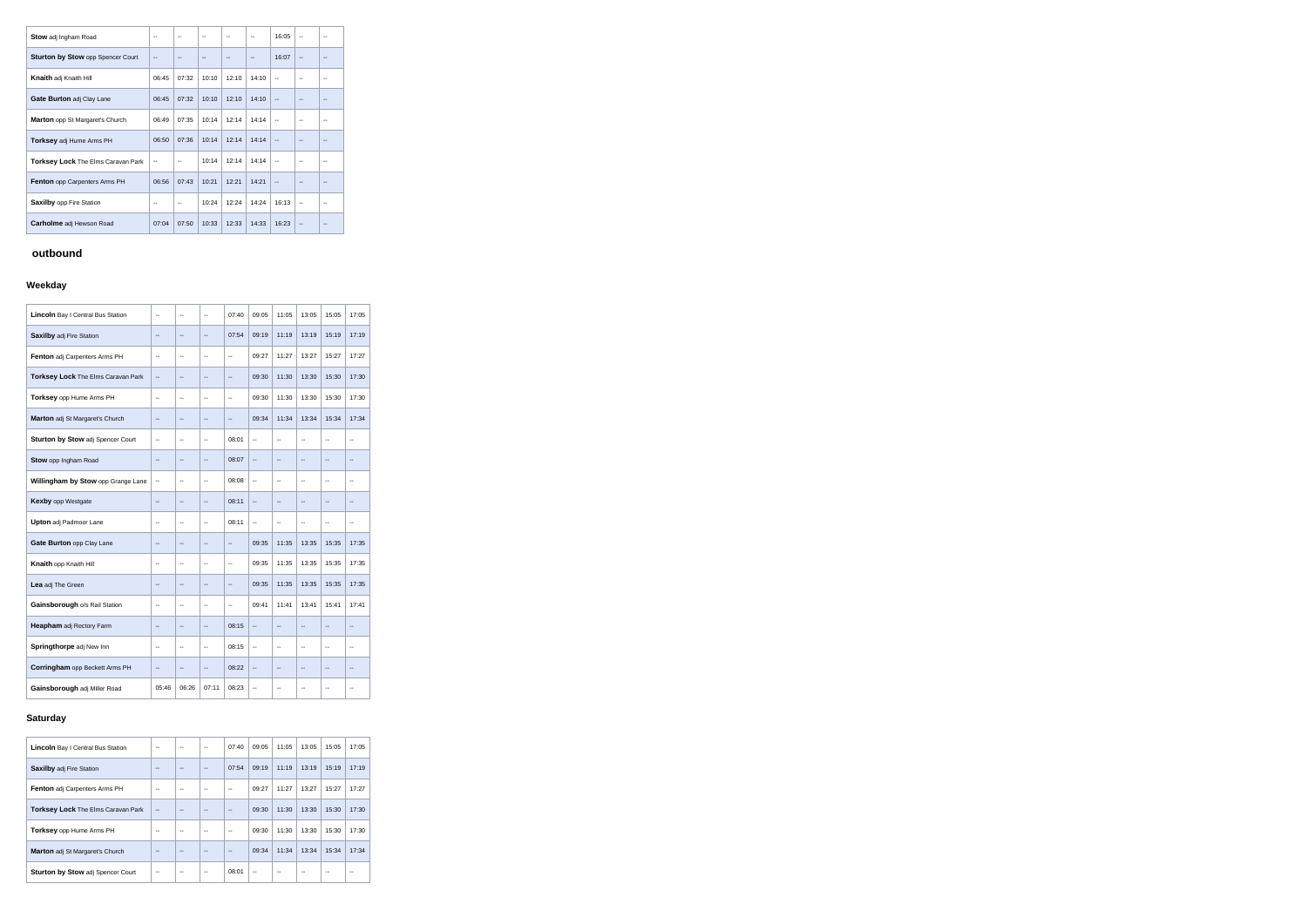| <b>Stow</b> adj Ingham Road               | --    |               |       |       | $\overline{a}$ | 16:05 | $\overline{\phantom{a}}$ | --  |
|-------------------------------------------|-------|---------------|-------|-------|----------------|-------|--------------------------|-----|
| Sturton by Stow opp Spencer Court         | --    |               |       |       |                | 16:07 | $- -$                    |     |
| Knaith adj Knaith Hill                    | 06:45 | 07:32         | 10:10 | 12:10 | 14:10          | $-$   | --                       | --  |
| <b>Gate Burton adj Clay Lane</b>          | 06:45 | 07:32         | 10:10 | 12:10 | 14:10          | $-$   |                          |     |
| Marton opp St Margaret's Church           | 06:49 | 07:35         | 10:14 | 12:14 | 14:14          | $-$   | --                       | --  |
| <b>Torksey</b> adj Hume Arms PH           | 06:50 | 07:36         | 10:14 | 12:14 | 14:14          |       |                          |     |
| <b>Torksey Lock</b> The Elms Caravan Park | --    | $\sim$ $\sim$ | 10:14 | 12:14 | 14:14          | --    | $\overline{\phantom{a}}$ | --  |
| <b>Fenton</b> opp Carpenters Arms PH      | 06:56 | 07:43         | 10:21 | 12:21 | 14:21          |       |                          | --  |
| <b>Saxilby opp Fire Station</b>           | --    |               | 10:24 | 12:24 | 14:24          | 16:13 | $\overline{\phantom{a}}$ | $-$ |
| Carholme adj Hewson Road                  | 07:04 | 07:50         | 10:33 | 12:33 | 14:33          | 16:23 | $\overline{\phantom{a}}$ |     |

# **outbound**

### **Weekday**

| Lincoln Bay I Central Bus Station  | --                       | $\ddotsc$                | $\ddotsc$                | 07:40                    | 09:05                    | 11:05                    | 13:05                    | 15:05                    | 17:05          |
|------------------------------------|--------------------------|--------------------------|--------------------------|--------------------------|--------------------------|--------------------------|--------------------------|--------------------------|----------------|
| <b>Saxilby adj Fire Station</b>    | --                       | $\overline{a}$           | $\overline{a}$           | 07:54                    | 09:19                    | 11:19                    | 13:19                    | 15:19                    | 17:19          |
| Fenton adj Carpenters Arms PH      | --                       | $\overline{a}$           | $\sim$                   | $\overline{a}$           | 09:27                    | 11:27                    | 13:27                    | 15:27                    | 17:27          |
| Torksey Lock The Elms Caravan Park | $\overline{a}$           | $\sim$                   | $\sim$                   | $\sim$                   | 09:30                    | 11:30                    | 13:30                    | 15:30                    | 17:30          |
| Torksey opp Hume Arms PH           | --                       | $\overline{\phantom{a}}$ | $\overline{\phantom{a}}$ | $\overline{\phantom{a}}$ | 09:30                    | 11:30                    | 13:30                    | 15:30                    | 17:30          |
| Marton adj St Margaret's Church    | --                       | $\overline{a}$           | $\overline{\phantom{a}}$ | $-$                      | 09:34                    | 11:34                    | 13:34                    | 15:34                    | 17:34          |
| Sturton by Stow adj Spencer Court  | Ξ.                       | $\sim$                   | $\ddotsc$                | 08:01                    | $\overline{\phantom{a}}$ | Ξ.                       | $\sim$                   | Ξ.                       | $\sim$         |
| Stow opp Ingham Road               | $\overline{a}$           | $\overline{a}$           | $\sim$                   | 08:07                    | $\overline{\phantom{a}}$ | Ξ.                       | $\overline{\phantom{a}}$ | Ξ.                       | $\overline{a}$ |
| Willingham by Stow opp Grange Lane | Ξ.                       | $\overline{\phantom{a}}$ | $\overline{\phantom{a}}$ | 08:08                    | $\ddotsc$                | Ξ.                       | $\overline{\phantom{a}}$ | $\overline{\phantom{a}}$ | $\overline{a}$ |
| <b>Kexby</b> opp Westgate          | $\overline{\phantom{a}}$ | $\overline{\phantom{a}}$ | $\overline{\phantom{a}}$ | 08:11                    | $\overline{\phantom{a}}$ | $\overline{\phantom{a}}$ | $\overline{\phantom{a}}$ | $\overline{a}$           | --             |
| <b>Upton</b> adj Padmoor Lane      | $\overline{a}$           | $\ddotsc$                | $\mathbf{L}$             | 08:11                    | $\frac{1}{2}$            | $\ddotsc$                | $\ddotsc$                | $\ddotsc$                | $\sim$ $\sim$  |
| Gate Burton opp Clay Lane          | --                       | $\overline{a}$           | $\overline{a}$           | $\overline{a}$           | 09:35                    | 11:35                    | 13:35                    | 15:35                    | 17:35          |
| Knaith opp Knaith Hill             | --                       | $\overline{\phantom{a}}$ | $\overline{\phantom{a}}$ | $\overline{\phantom{a}}$ | 09:35                    | 11:35                    | 13:35                    | 15:35                    | 17:35          |
| Lea adj The Green                  | --                       | $\overline{\phantom{a}}$ | $\overline{\phantom{a}}$ | --                       | 09:35                    | 11:35                    | 13:35                    | 15:35                    | 17:35          |
| Gainsborough o/s Rail Station      | Ξ.                       | $\sim$                   | $\sim$                   | $\overline{\phantom{a}}$ | 09:41                    | 11:41                    | 13:41                    | 15:41                    | 17:41          |
| <b>Heapham</b> adj Rectory Farm    | Ξ.                       | $\overline{\phantom{a}}$ | $\overline{\phantom{a}}$ | 08:15                    | $\overline{\phantom{a}}$ | $\overline{\phantom{a}}$ | $\sim$                   | Ξ.                       | $\overline{a}$ |
| Springthorpe adj New Inn           | --                       | $\sim$                   | $\ddotsc$                | 08:15                    | $\overline{\phantom{a}}$ | $\overline{a}$           | $\sim$                   | Ξ.                       | $\sim$         |
| Corringham opp Beckett Arms PH     | --                       | $\qquad \qquad -$        | $\overline{a}$           | 08:22                    | $\overline{\phantom{a}}$ | $\qquad \qquad -$        | $\qquad \qquad -$        | $\overline{a}$           | --             |
| Gainsborough adj Miller Road       | 05:46                    | 06:26                    | 07:11                    | 08:23                    | $\overline{\phantom{a}}$ | $\overline{\phantom{a}}$ | $\overline{a}$           | $-$                      | $\overline{a}$ |

### **Saturday**

| <b>Lincoln</b> Bay I Central Bus Station  | --                       |                   | --    | 07:40             | 09:05 | 11:05 | 13:05                    | 15:05 | 17:05 |
|-------------------------------------------|--------------------------|-------------------|-------|-------------------|-------|-------|--------------------------|-------|-------|
| <b>Saxilby adj Fire Station</b>           | --                       |                   | $- -$ | 07:54             | 09:19 | 11:19 | 13:19                    | 15:19 | 17:19 |
| <b>Fenton</b> adj Carpenters Arms PH      | $\overline{\phantom{a}}$ | $\qquad \qquad -$ | $- -$ | $\qquad \qquad -$ | 09:27 | 11:27 | 13:27                    | 15:27 | 17:27 |
| <b>Torksey Lock The Elms Caravan Park</b> | $\overline{a}$           |                   |       | --                | 09:30 | 11:30 | 13:30                    | 15:30 | 17:30 |
| <b>Torksey</b> opp Hume Arms PH           | --                       |                   | --    | --                | 09:30 | 11:30 | 13:30                    | 15:30 | 17:30 |
| <b>Marton</b> adj St Margaret's Church    | ٠.                       |                   |       | --                | 09:34 | 11:34 | 13:34                    | 15:34 | 17:34 |
| Sturton by Stow adj Spencer Court         | --                       | --                | $- -$ | 08:01             | $-$   | $-$   | $\overline{\phantom{m}}$ |       | --    |